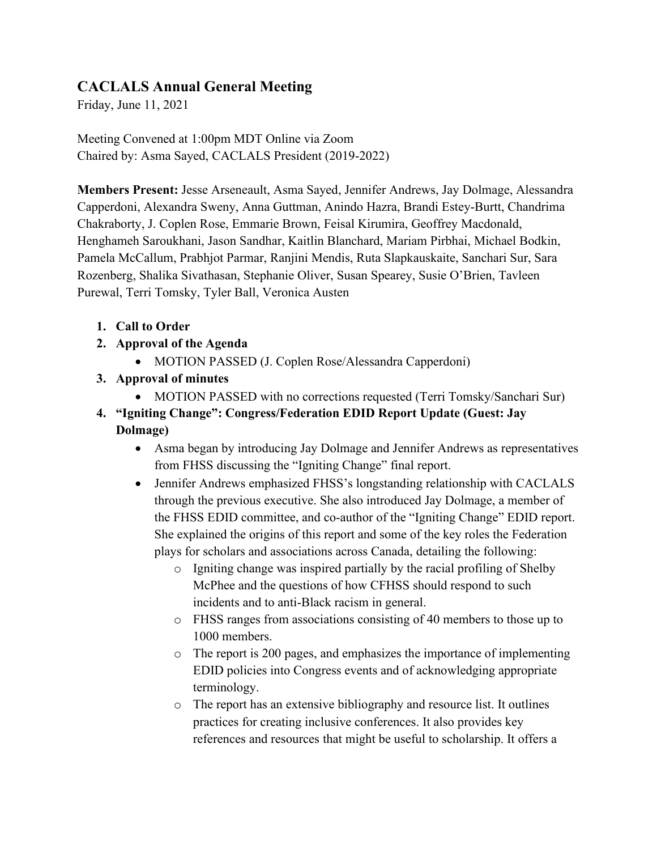# **CACLALS Annual General Meeting**

Friday, June 11, 2021

Meeting Convened at 1:00pm MDT Online via Zoom Chaired by: Asma Sayed, CACLALS President (2019-2022)

**Members Present:** Jesse Arseneault, Asma Sayed, Jennifer Andrews, Jay Dolmage, Alessandra Capperdoni, Alexandra Sweny, Anna Guttman, Anindo Hazra, Brandi Estey-Burtt, Chandrima Chakraborty, J. Coplen Rose, Emmarie Brown, Feisal Kirumira, Geoffrey Macdonald, Henghameh Saroukhani, Jason Sandhar, Kaitlin Blanchard, Mariam Pirbhai, Michael Bodkin, Pamela McCallum, Prabhjot Parmar, Ranjini Mendis, Ruta Slapkauskaite, Sanchari Sur, Sara Rozenberg, Shalika Sivathasan, Stephanie Oliver, Susan Spearey, Susie O'Brien, Tavleen Purewal, Terri Tomsky, Tyler Ball, Veronica Austen

- **1. Call to Order**
- **2. Approval of the Agenda**
	- MOTION PASSED (J. Coplen Rose/Alessandra Capperdoni)
- **3. Approval of minutes**
	- MOTION PASSED with no corrections requested (Terri Tomsky/Sanchari Sur)
- **4. "Igniting Change": Congress/Federation EDID Report Update (Guest: Jay Dolmage)**
	- Asma began by introducing Jay Dolmage and Jennifer Andrews as representatives from FHSS discussing the "Igniting Change" final report.
	- Jennifer Andrews emphasized FHSS's longstanding relationship with CACLALS through the previous executive. She also introduced Jay Dolmage, a member of the FHSS EDID committee, and co-author of the "Igniting Change" EDID report. She explained the origins of this report and some of the key roles the Federation plays for scholars and associations across Canada, detailing the following:
		- o Igniting change was inspired partially by the racial profiling of Shelby McPhee and the questions of how CFHSS should respond to such incidents and to anti-Black racism in general.
		- o FHSS ranges from associations consisting of 40 members to those up to 1000 members.
		- o The report is 200 pages, and emphasizes the importance of implementing EDID policies into Congress events and of acknowledging appropriate terminology.
		- o The report has an extensive bibliography and resource list. It outlines practices for creating inclusive conferences. It also provides key references and resources that might be useful to scholarship. It offers a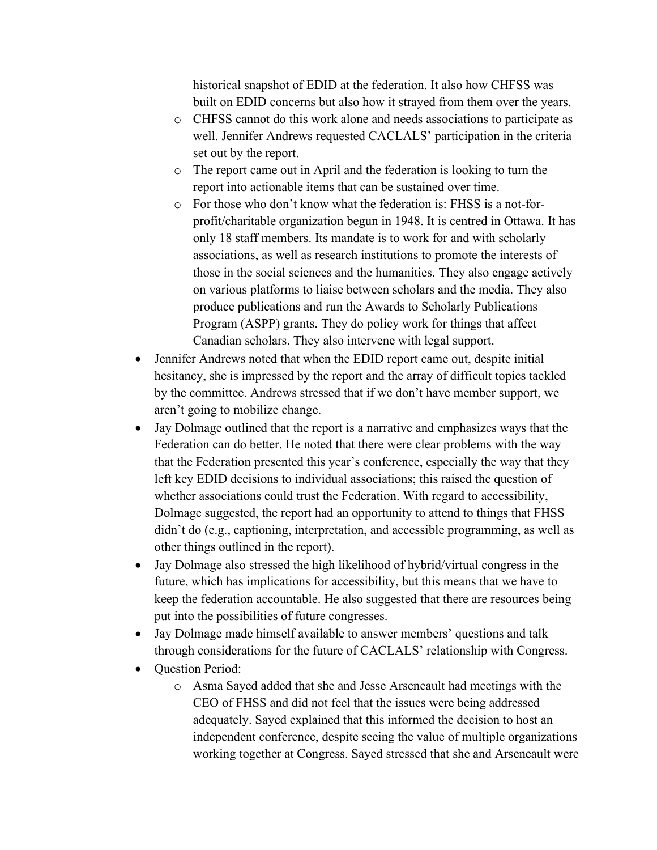historical snapshot of EDID at the federation. It also how CHFSS was built on EDID concerns but also how it strayed from them over the years.

- o CHFSS cannot do this work alone and needs associations to participate as well. Jennifer Andrews requested CACLALS' participation in the criteria set out by the report.
- o The report came out in April and the federation is looking to turn the report into actionable items that can be sustained over time.
- o For those who don't know what the federation is: FHSS is a not-forprofit/charitable organization begun in 1948. It is centred in Ottawa. It has only 18 staff members. Its mandate is to work for and with scholarly associations, as well as research institutions to promote the interests of those in the social sciences and the humanities. They also engage actively on various platforms to liaise between scholars and the media. They also produce publications and run the Awards to Scholarly Publications Program (ASPP) grants. They do policy work for things that affect Canadian scholars. They also intervene with legal support.
- Jennifer Andrews noted that when the EDID report came out, despite initial hesitancy, she is impressed by the report and the array of difficult topics tackled by the committee. Andrews stressed that if we don't have member support, we aren't going to mobilize change.
- Jay Dolmage outlined that the report is a narrative and emphasizes ways that the Federation can do better. He noted that there were clear problems with the way that the Federation presented this year's conference, especially the way that they left key EDID decisions to individual associations; this raised the question of whether associations could trust the Federation. With regard to accessibility, Dolmage suggested, the report had an opportunity to attend to things that FHSS didn't do (e.g., captioning, interpretation, and accessible programming, as well as other things outlined in the report).
- Jay Dolmage also stressed the high likelihood of hybrid/virtual congress in the future, which has implications for accessibility, but this means that we have to keep the federation accountable. He also suggested that there are resources being put into the possibilities of future congresses.
- Jay Dolmage made himself available to answer members' questions and talk through considerations for the future of CACLALS' relationship with Congress.
- Ouestion Period:
	- o Asma Sayed added that she and Jesse Arseneault had meetings with the CEO of FHSS and did not feel that the issues were being addressed adequately. Sayed explained that this informed the decision to host an independent conference, despite seeing the value of multiple organizations working together at Congress. Sayed stressed that she and Arseneault were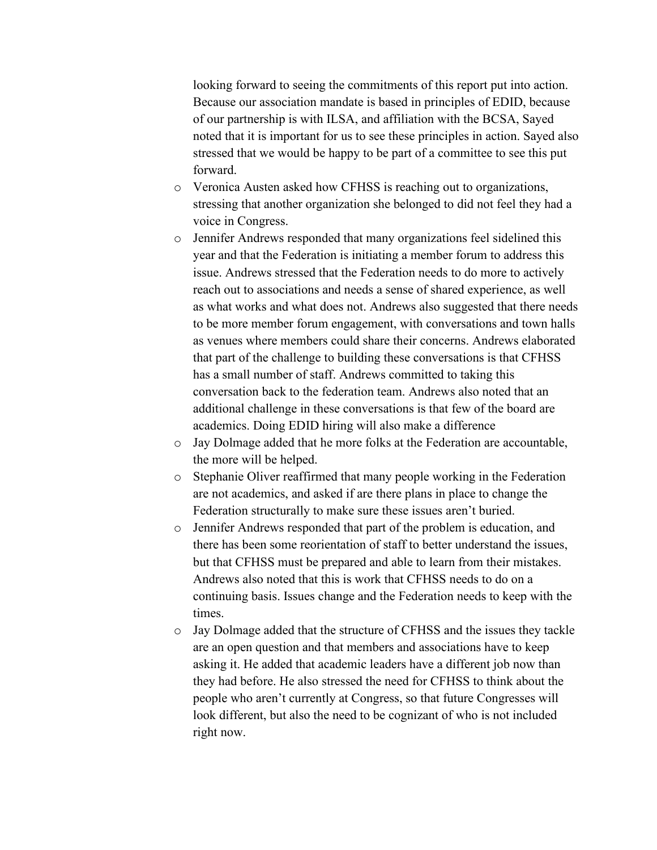looking forward to seeing the commitments of this report put into action. Because our association mandate is based in principles of EDID, because of our partnership is with ILSA, and affiliation with the BCSA, Sayed noted that it is important for us to see these principles in action. Sayed also stressed that we would be happy to be part of a committee to see this put forward.

- o Veronica Austen asked how CFHSS is reaching out to organizations, stressing that another organization she belonged to did not feel they had a voice in Congress.
- o Jennifer Andrews responded that many organizations feel sidelined this year and that the Federation is initiating a member forum to address this issue. Andrews stressed that the Federation needs to do more to actively reach out to associations and needs a sense of shared experience, as well as what works and what does not. Andrews also suggested that there needs to be more member forum engagement, with conversations and town halls as venues where members could share their concerns. Andrews elaborated that part of the challenge to building these conversations is that CFHSS has a small number of staff. Andrews committed to taking this conversation back to the federation team. Andrews also noted that an additional challenge in these conversations is that few of the board are academics. Doing EDID hiring will also make a difference
- o Jay Dolmage added that he more folks at the Federation are accountable, the more will be helped.
- o Stephanie Oliver reaffirmed that many people working in the Federation are not academics, and asked if are there plans in place to change the Federation structurally to make sure these issues aren't buried.
- o Jennifer Andrews responded that part of the problem is education, and there has been some reorientation of staff to better understand the issues, but that CFHSS must be prepared and able to learn from their mistakes. Andrews also noted that this is work that CFHSS needs to do on a continuing basis. Issues change and the Federation needs to keep with the times.
- o Jay Dolmage added that the structure of CFHSS and the issues they tackle are an open question and that members and associations have to keep asking it. He added that academic leaders have a different job now than they had before. He also stressed the need for CFHSS to think about the people who aren't currently at Congress, so that future Congresses will look different, but also the need to be cognizant of who is not included right now.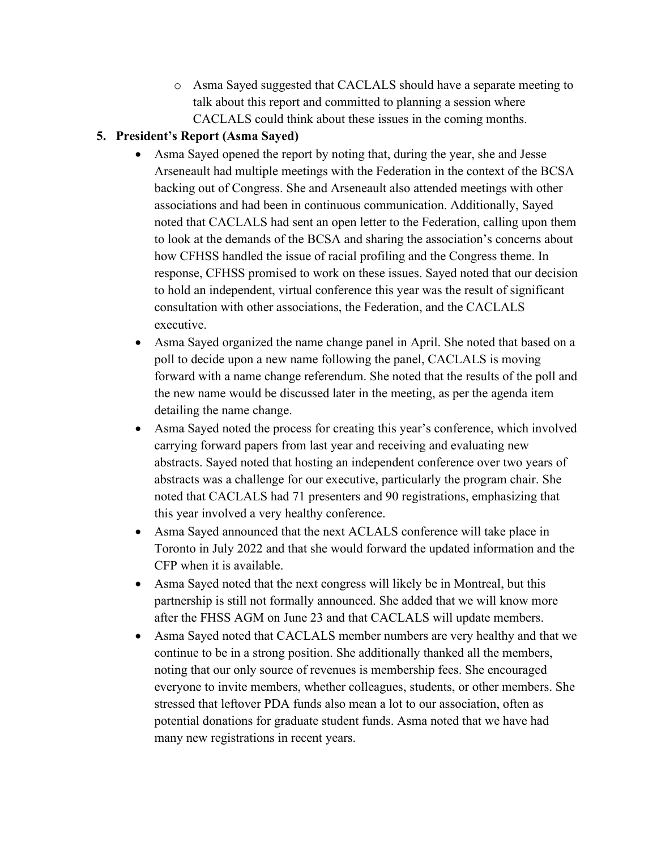o Asma Sayed suggested that CACLALS should have a separate meeting to talk about this report and committed to planning a session where CACLALS could think about these issues in the coming months.

## **5. President's Report (Asma Sayed)**

- Asma Sayed opened the report by noting that, during the year, she and Jesse Arseneault had multiple meetings with the Federation in the context of the BCSA backing out of Congress. She and Arseneault also attended meetings with other associations and had been in continuous communication. Additionally, Sayed noted that CACLALS had sent an open letter to the Federation, calling upon them to look at the demands of the BCSA and sharing the association's concerns about how CFHSS handled the issue of racial profiling and the Congress theme. In response, CFHSS promised to work on these issues. Sayed noted that our decision to hold an independent, virtual conference this year was the result of significant consultation with other associations, the Federation, and the CACLALS executive.
- Asma Sayed organized the name change panel in April. She noted that based on a poll to decide upon a new name following the panel, CACLALS is moving forward with a name change referendum. She noted that the results of the poll and the new name would be discussed later in the meeting, as per the agenda item detailing the name change.
- Asma Sayed noted the process for creating this year's conference, which involved carrying forward papers from last year and receiving and evaluating new abstracts. Sayed noted that hosting an independent conference over two years of abstracts was a challenge for our executive, particularly the program chair. She noted that CACLALS had 71 presenters and 90 registrations, emphasizing that this year involved a very healthy conference.
- Asma Sayed announced that the next ACLALS conference will take place in Toronto in July 2022 and that she would forward the updated information and the CFP when it is available.
- Asma Sayed noted that the next congress will likely be in Montreal, but this partnership is still not formally announced. She added that we will know more after the FHSS AGM on June 23 and that CACLALS will update members.
- Asma Sayed noted that CACLALS member numbers are very healthy and that we continue to be in a strong position. She additionally thanked all the members, noting that our only source of revenues is membership fees. She encouraged everyone to invite members, whether colleagues, students, or other members. She stressed that leftover PDA funds also mean a lot to our association, often as potential donations for graduate student funds. Asma noted that we have had many new registrations in recent years.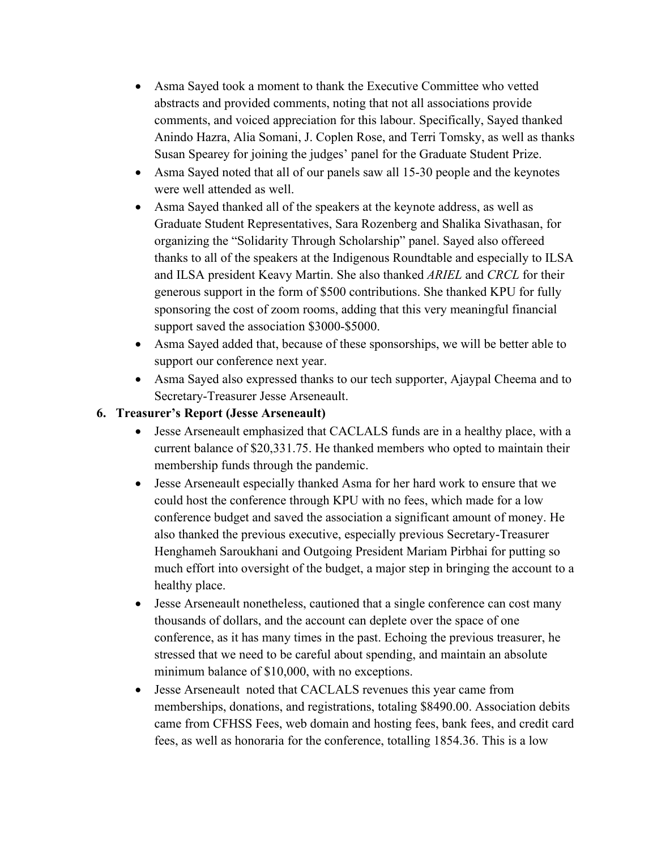- Asma Sayed took a moment to thank the Executive Committee who vetted abstracts and provided comments, noting that not all associations provide comments, and voiced appreciation for this labour. Specifically, Sayed thanked Anindo Hazra, Alia Somani, J. Coplen Rose, and Terri Tomsky, as well as thanks Susan Spearey for joining the judges' panel for the Graduate Student Prize.
- Asma Sayed noted that all of our panels saw all 15-30 people and the keynotes were well attended as well.
- Asma Sayed thanked all of the speakers at the keynote address, as well as Graduate Student Representatives, Sara Rozenberg and Shalika Sivathasan, for organizing the "Solidarity Through Scholarship" panel. Sayed also offereed thanks to all of the speakers at the Indigenous Roundtable and especially to ILSA and ILSA president Keavy Martin. She also thanked *ARIEL* and *CRCL* for their generous support in the form of \$500 contributions. She thanked KPU for fully sponsoring the cost of zoom rooms, adding that this very meaningful financial support saved the association \$3000-\$5000.
- Asma Sayed added that, because of these sponsorships, we will be better able to support our conference next year.
- Asma Sayed also expressed thanks to our tech supporter, Ajaypal Cheema and to Secretary-Treasurer Jesse Arseneault.

### **6. Treasurer's Report (Jesse Arseneault)**

- Jesse Arseneault emphasized that CACLALS funds are in a healthy place, with a current balance of \$20,331.75. He thanked members who opted to maintain their membership funds through the pandemic.
- Jesse Arseneault especially thanked Asma for her hard work to ensure that we could host the conference through KPU with no fees, which made for a low conference budget and saved the association a significant amount of money. He also thanked the previous executive, especially previous Secretary-Treasurer Henghameh Saroukhani and Outgoing President Mariam Pirbhai for putting so much effort into oversight of the budget, a major step in bringing the account to a healthy place.
- Jesse Arseneault nonetheless, cautioned that a single conference can cost many thousands of dollars, and the account can deplete over the space of one conference, as it has many times in the past. Echoing the previous treasurer, he stressed that we need to be careful about spending, and maintain an absolute minimum balance of \$10,000, with no exceptions.
- Jesse Arseneault noted that CACLALS revenues this year came from memberships, donations, and registrations, totaling \$8490.00. Association debits came from CFHSS Fees, web domain and hosting fees, bank fees, and credit card fees, as well as honoraria for the conference, totalling 1854.36. This is a low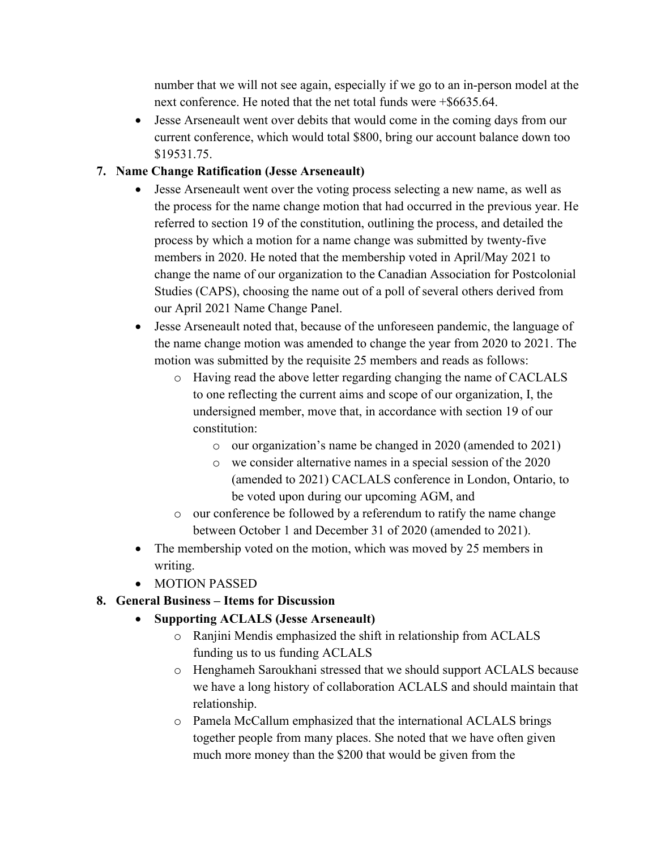number that we will not see again, especially if we go to an in-person model at the next conference. He noted that the net total funds were +\$6635.64.

• Jesse Arseneault went over debits that would come in the coming days from our current conference, which would total \$800, bring our account balance down too \$19531.75.

## **7. Name Change Ratification (Jesse Arseneault)**

- Jesse Arseneault went over the voting process selecting a new name, as well as the process for the name change motion that had occurred in the previous year. He referred to section 19 of the constitution, outlining the process, and detailed the process by which a motion for a name change was submitted by twenty-five members in 2020. He noted that the membership voted in April/May 2021 to change the name of our organization to the Canadian Association for Postcolonial Studies (CAPS), choosing the name out of a poll of several others derived from our April 2021 Name Change Panel.
- Jesse Arseneault noted that, because of the unforeseen pandemic, the language of the name change motion was amended to change the year from 2020 to 2021. The motion was submitted by the requisite 25 members and reads as follows:
	- o Having read the above letter regarding changing the name of CACLALS to one reflecting the current aims and scope of our organization, I, the undersigned member, move that, in accordance with section 19 of our constitution:
		- o our organization's name be changed in 2020 (amended to 2021)
		- o we consider alternative names in a special session of the 2020 (amended to 2021) CACLALS conference in London, Ontario, to be voted upon during our upcoming AGM, and
	- o our conference be followed by a referendum to ratify the name change between October 1 and December 31 of 2020 (amended to 2021).
- The membership voted on the motion, which was moved by 25 members in writing.
- MOTION PASSED
- **8. General Business – Items for Discussion** 
	- **Supporting ACLALS (Jesse Arseneault)** 
		- o Ranjini Mendis emphasized the shift in relationship from ACLALS funding us to us funding ACLALS
		- o Henghameh Saroukhani stressed that we should support ACLALS because we have a long history of collaboration ACLALS and should maintain that relationship.
		- o Pamela McCallum emphasized that the international ACLALS brings together people from many places. She noted that we have often given much more money than the \$200 that would be given from the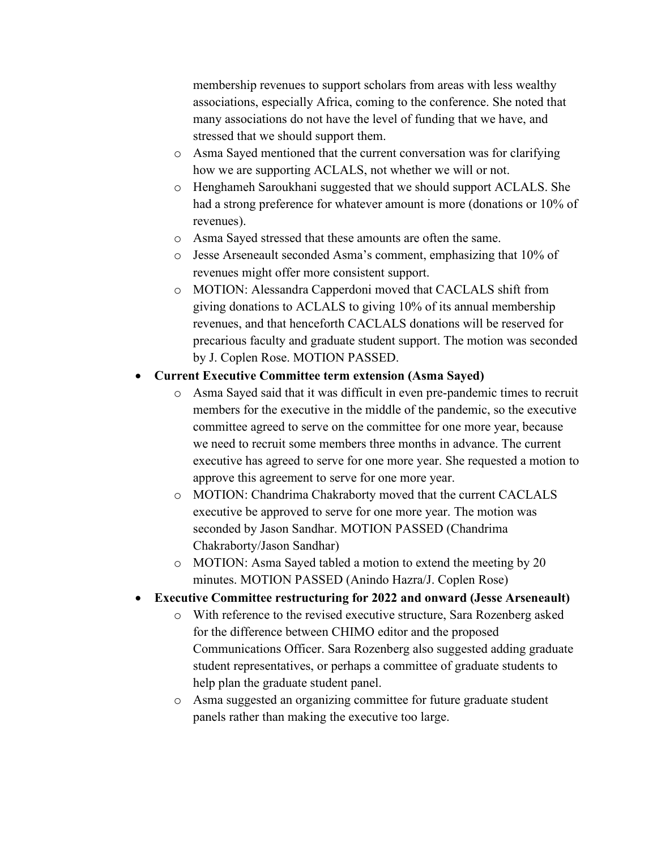membership revenues to support scholars from areas with less wealthy associations, especially Africa, coming to the conference. She noted that many associations do not have the level of funding that we have, and stressed that we should support them.

- o Asma Sayed mentioned that the current conversation was for clarifying how we are supporting ACLALS, not whether we will or not.
- o Henghameh Saroukhani suggested that we should support ACLALS. She had a strong preference for whatever amount is more (donations or 10% of revenues).
- o Asma Sayed stressed that these amounts are often the same.
- o Jesse Arseneault seconded Asma's comment, emphasizing that 10% of revenues might offer more consistent support.
- o MOTION: Alessandra Capperdoni moved that CACLALS shift from giving donations to ACLALS to giving 10% of its annual membership revenues, and that henceforth CACLALS donations will be reserved for precarious faculty and graduate student support. The motion was seconded by J. Coplen Rose. MOTION PASSED.

#### • **Current Executive Committee term extension (Asma Sayed)**

- o Asma Sayed said that it was difficult in even pre-pandemic times to recruit members for the executive in the middle of the pandemic, so the executive committee agreed to serve on the committee for one more year, because we need to recruit some members three months in advance. The current executive has agreed to serve for one more year. She requested a motion to approve this agreement to serve for one more year.
- o MOTION: Chandrima Chakraborty moved that the current CACLALS executive be approved to serve for one more year. The motion was seconded by Jason Sandhar. MOTION PASSED (Chandrima Chakraborty/Jason Sandhar)
- o MOTION: Asma Sayed tabled a motion to extend the meeting by 20 minutes. MOTION PASSED (Anindo Hazra/J. Coplen Rose)
- **Executive Committee restructuring for 2022 and onward (Jesse Arseneault)**
	- o With reference to the revised executive structure, Sara Rozenberg asked for the difference between CHIMO editor and the proposed Communications Officer. Sara Rozenberg also suggested adding graduate student representatives, or perhaps a committee of graduate students to help plan the graduate student panel.
	- o Asma suggested an organizing committee for future graduate student panels rather than making the executive too large.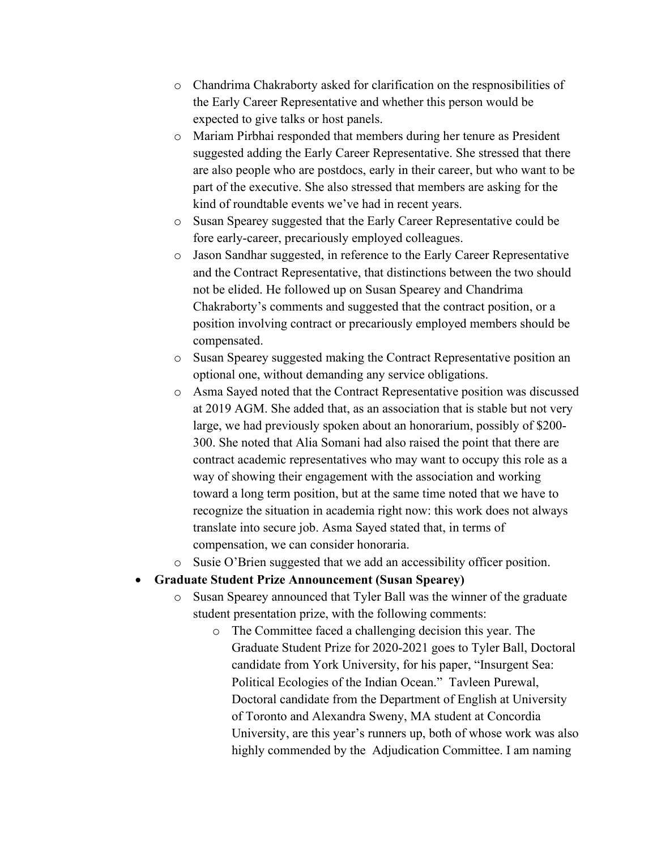- o Chandrima Chakraborty asked for clarification on the respnosibilities of the Early Career Representative and whether this person would be expected to give talks or host panels.
- o Mariam Pirbhai responded that members during her tenure as President suggested adding the Early Career Representative. She stressed that there are also people who are postdocs, early in their career, but who want to be part of the executive. She also stressed that members are asking for the kind of roundtable events we've had in recent years.
- o Susan Spearey suggested that the Early Career Representative could be fore early-career, precariously employed colleagues.
- o Jason Sandhar suggested, in reference to the Early Career Representative and the Contract Representative, that distinctions between the two should not be elided. He followed up on Susan Spearey and Chandrima Chakraborty's comments and suggested that the contract position, or a position involving contract or precariously employed members should be compensated.
- o Susan Spearey suggested making the Contract Representative position an optional one, without demanding any service obligations.
- o Asma Sayed noted that the Contract Representative position was discussed at 2019 AGM. She added that, as an association that is stable but not very large, we had previously spoken about an honorarium, possibly of \$200- 300. She noted that Alia Somani had also raised the point that there are contract academic representatives who may want to occupy this role as a way of showing their engagement with the association and working toward a long term position, but at the same time noted that we have to recognize the situation in academia right now: this work does not always translate into secure job. Asma Sayed stated that, in terms of compensation, we can consider honoraria.
- o Susie O'Brien suggested that we add an accessibility officer position.

#### • **Graduate Student Prize Announcement (Susan Spearey)**

- Susan Spearey announced that Tyler Ball was the winner of the graduate student presentation prize, with the following comments:
	- o The Committee faced a challenging decision this year. The Graduate Student Prize for 2020-2021 goes to Tyler Ball, Doctoral candidate from York University, for his paper, "Insurgent Sea: Political Ecologies of the Indian Ocean." Tavleen Purewal, Doctoral candidate from the Department of English at University of Toronto and Alexandra Sweny, MA student at Concordia University, are this year's runners up, both of whose work was also highly commended by the Adjudication Committee. I am naming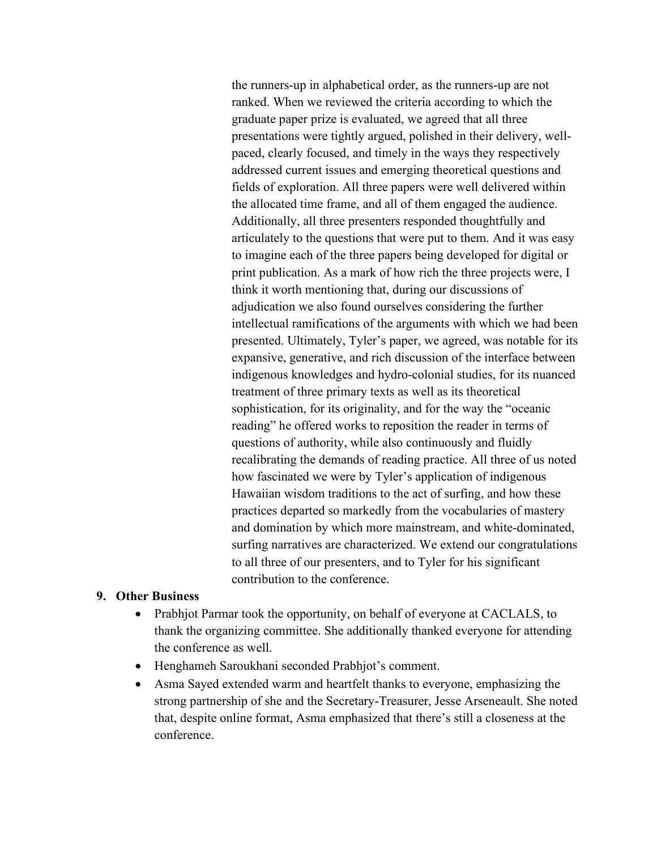the runners-up in alphabetical order, as the runners-up are not ranked. When we reviewed the criteria according to which the graduate paper prize is evaluated, we agreed that all three presentations were tightly argued, polished in their delivery, wellpaced, clearly focused, and timely in the ways they respectively addressed current issues and emerging theoretical questions and fields of exploration. All three papers were well delivered within the allocated time frame, and all of them engaged the audience. Additionally, all three presenters responded thoughtfully and articulately to the questions that were put to them. And it was easy to imagine each of the three papers being developed for digital or print publication. As a mark of how rich the three projects were, I think it worth mentioning that, during our discussions of adjudication we also found ourselves considering the further intellectual ramifications of the arguments with which we had been presented. Ultimately, Tyler's paper, we agreed, was notable for its expansive, generative, and rich discussion of the interface between indigenous knowledges and hydro-colonial studies, for its nuanced treatment of three primary texts as well as its theoretical sophistication, for its originality, and for the way the "oceanic reading" he offered works to reposition the reader in terms of questions of authority, while also continuously and fluidly recalibrating the demands of reading practice. All three of us noted how fascinated we were by Tyler's application of indigenous Hawaiian wisdom traditions to the act of surfing, and how these practices departed so markedly from the vocabularies of mastery and domination by which more mainstream, and white-dominated, surfing narratives are characterized. We extend our congratulations to all three of our presenters, and to Tyler for his significant contribution to the conference.

#### **9. Other Business**

- Prabhjot Parmar took the opportunity, on behalf of everyone at CACLALS, to thank the organizing committee. She additionally thanked everyone for attending the conference as well.
- Henghameh Saroukhani seconded Prabhjot's comment.
- Asma Sayed extended warm and heartfelt thanks to everyone, emphasizing the strong partnership of she and the Secretary-Treasurer, Jesse Arseneault. She noted that, despite online format, Asma emphasized that there's still a closeness at the conference.